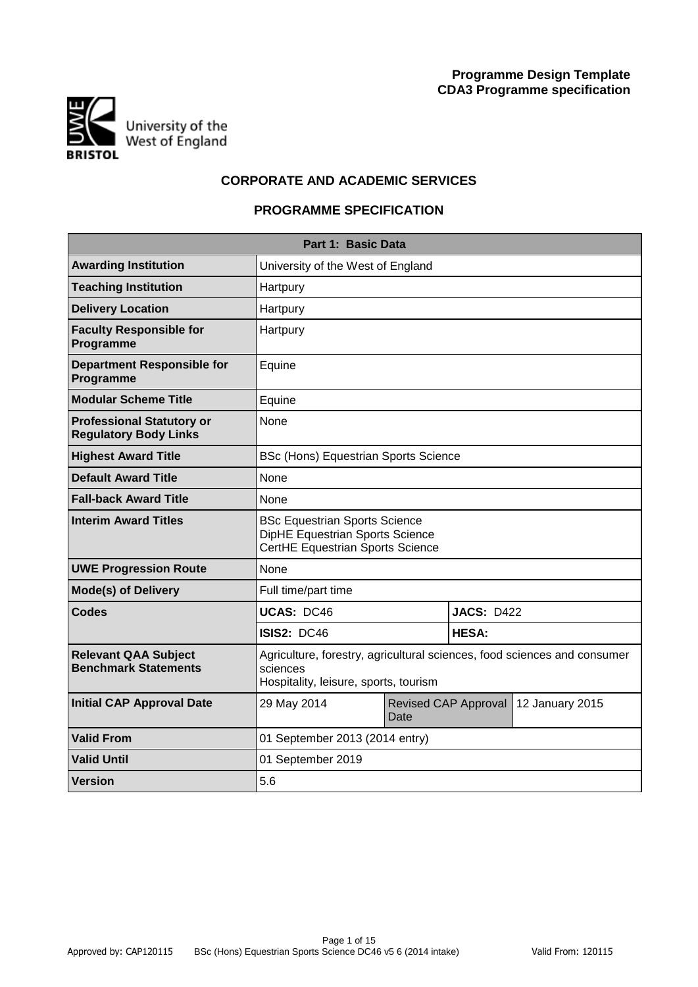

# **CORPORATE AND ACADEMIC SERVICES**

# **PROGRAMME SPECIFICATION**

|                                                                  | Part 1: Basic Data                                                                                                            |      |                      |                 |
|------------------------------------------------------------------|-------------------------------------------------------------------------------------------------------------------------------|------|----------------------|-----------------|
| <b>Awarding Institution</b>                                      | University of the West of England                                                                                             |      |                      |                 |
| <b>Teaching Institution</b>                                      | Hartpury                                                                                                                      |      |                      |                 |
| <b>Delivery Location</b>                                         | Hartpury                                                                                                                      |      |                      |                 |
| <b>Faculty Responsible for</b><br>Programme                      | Hartpury                                                                                                                      |      |                      |                 |
| <b>Department Responsible for</b><br>Programme                   | Equine                                                                                                                        |      |                      |                 |
| <b>Modular Scheme Title</b>                                      | Equine                                                                                                                        |      |                      |                 |
| <b>Professional Statutory or</b><br><b>Regulatory Body Links</b> | None                                                                                                                          |      |                      |                 |
| <b>Highest Award Title</b>                                       | <b>BSc (Hons) Equestrian Sports Science</b>                                                                                   |      |                      |                 |
| <b>Default Award Title</b>                                       | None                                                                                                                          |      |                      |                 |
| <b>Fall-back Award Title</b>                                     | None                                                                                                                          |      |                      |                 |
| <b>Interim Award Titles</b>                                      | <b>BSc Equestrian Sports Science</b><br>DipHE Equestrian Sports Science<br>CertHE Equestrian Sports Science                   |      |                      |                 |
| <b>UWE Progression Route</b>                                     | None                                                                                                                          |      |                      |                 |
| <b>Mode(s) of Delivery</b>                                       | Full time/part time                                                                                                           |      |                      |                 |
| <b>Codes</b>                                                     | <b>UCAS: DC46</b>                                                                                                             |      | <b>JACS: D422</b>    |                 |
|                                                                  | <b>ISIS2: DC46</b>                                                                                                            |      | <b>HESA:</b>         |                 |
| <b>Relevant QAA Subject</b><br><b>Benchmark Statements</b>       | Agriculture, forestry, agricultural sciences, food sciences and consumer<br>sciences<br>Hospitality, leisure, sports, tourism |      |                      |                 |
| <b>Initial CAP Approval Date</b>                                 | 29 May 2014                                                                                                                   | Date | Revised CAP Approval | 12 January 2015 |
| <b>Valid From</b>                                                | 01 September 2013 (2014 entry)                                                                                                |      |                      |                 |
| <b>Valid Until</b>                                               | 01 September 2019                                                                                                             |      |                      |                 |
| <b>Version</b>                                                   | 5.6                                                                                                                           |      |                      |                 |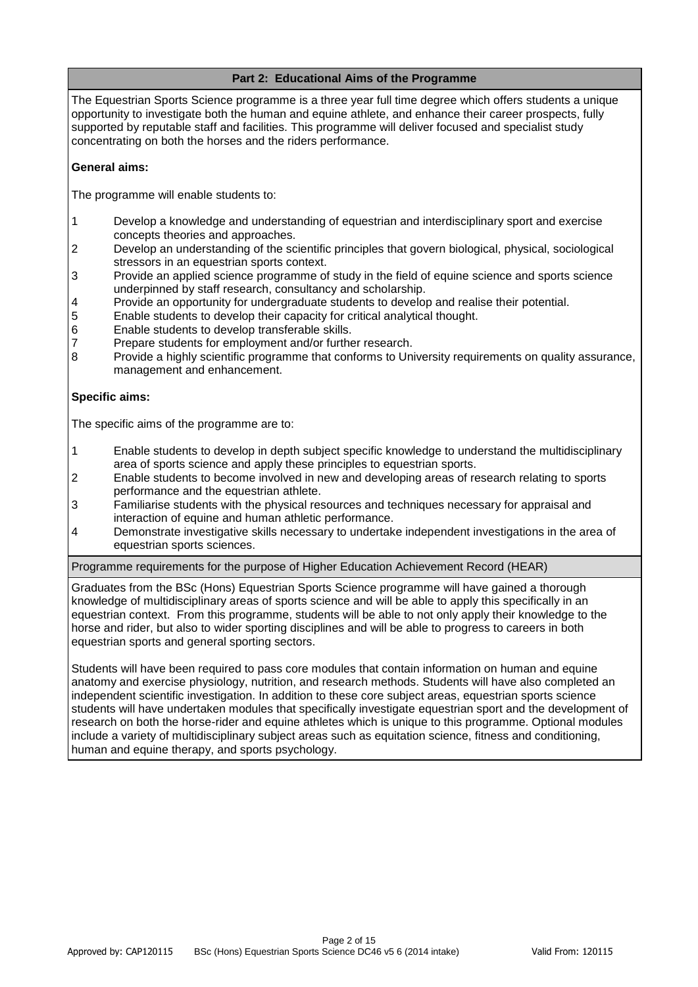# **Part 2: Educational Aims of the Programme**

The Equestrian Sports Science programme is a three year full time degree which offers students a unique opportunity to investigate both the human and equine athlete, and enhance their career prospects, fully supported by reputable staff and facilities. This programme will deliver focused and specialist study concentrating on both the horses and the riders performance.

### **General aims:**

The programme will enable students to:

- 1 Develop a knowledge and understanding of equestrian and interdisciplinary sport and exercise concepts theories and approaches.
- 2 Develop an understanding of the scientific principles that govern biological, physical, sociological stressors in an equestrian sports context.
- 3 Provide an applied science programme of study in the field of equine science and sports science underpinned by staff research, consultancy and scholarship.
- 4 Provide an opportunity for undergraduate students to develop and realise their potential.
- 5 Enable students to develop their capacity for critical analytical thought.
- 6 Enable students to develop transferable skills.
- 7 Prepare students for employment and/or further research.
- 8 Provide a highly scientific programme that conforms to University requirements on quality assurance, management and enhancement.

### **Specific aims:**

The specific aims of the programme are to:

- 1 Enable students to develop in depth subject specific knowledge to understand the multidisciplinary area of sports science and apply these principles to equestrian sports.
- 2 Enable students to become involved in new and developing areas of research relating to sports performance and the equestrian athlete.
- 3 Familiarise students with the physical resources and techniques necessary for appraisal and interaction of equine and human athletic performance.
- 4 Demonstrate investigative skills necessary to undertake independent investigations in the area of equestrian sports sciences.

Programme requirements for the purpose of Higher Education Achievement Record (HEAR)

Graduates from the BSc (Hons) Equestrian Sports Science programme will have gained a thorough knowledge of multidisciplinary areas of sports science and will be able to apply this specifically in an equestrian context. From this programme, students will be able to not only apply their knowledge to the horse and rider, but also to wider sporting disciplines and will be able to progress to careers in both equestrian sports and general sporting sectors.

Students will have been required to pass core modules that contain information on human and equine anatomy and exercise physiology, nutrition, and research methods. Students will have also completed an independent scientific investigation. In addition to these core subject areas, equestrian sports science students will have undertaken modules that specifically investigate equestrian sport and the development of research on both the horse-rider and equine athletes which is unique to this programme. Optional modules include a variety of multidisciplinary subject areas such as equitation science, fitness and conditioning, human and equine therapy, and sports psychology.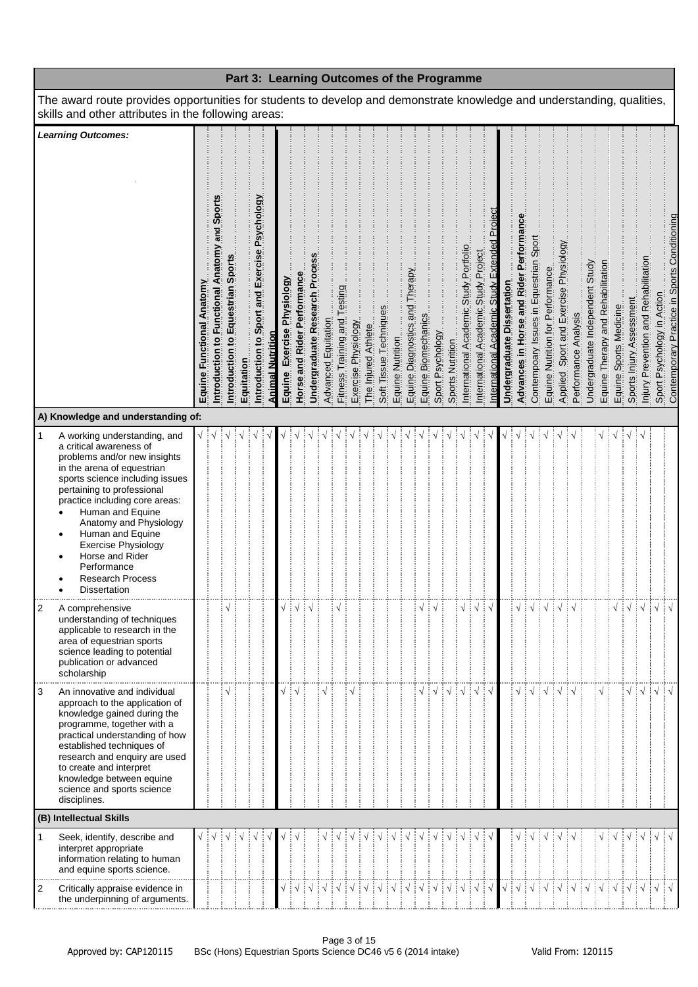|                                                                                                                                                                                                                                                                                                                                                                                                                                  |                           |                                                 |                                   | Part 3: Learning Outcomes of the Programme |                                               |                         |                            |                             |                               |                     |                              |                     |                     |                                            |                                |                     |                  |                  |                                        |                                      |                                           |                            |                                        |                                        |                                  |      |                                                                |                                 |                                   |                        |                          |                                      |            |                                                                            |
|----------------------------------------------------------------------------------------------------------------------------------------------------------------------------------------------------------------------------------------------------------------------------------------------------------------------------------------------------------------------------------------------------------------------------------|---------------------------|-------------------------------------------------|-----------------------------------|--------------------------------------------|-----------------------------------------------|-------------------------|----------------------------|-----------------------------|-------------------------------|---------------------|------------------------------|---------------------|---------------------|--------------------------------------------|--------------------------------|---------------------|------------------|------------------|----------------------------------------|--------------------------------------|-------------------------------------------|----------------------------|----------------------------------------|----------------------------------------|----------------------------------|------|----------------------------------------------------------------|---------------------------------|-----------------------------------|------------------------|--------------------------|--------------------------------------|------------|----------------------------------------------------------------------------|
| The award route provides opportunities for students to develop and demonstrate knowledge and understanding, qualities,<br>skills and other attributes in the following areas:                                                                                                                                                                                                                                                    |                           |                                                 |                                   |                                            |                                               |                         |                            |                             |                               |                     |                              |                     |                     |                                            |                                |                     |                  |                  |                                        |                                      |                                           |                            |                                        |                                        |                                  |      |                                                                |                                 |                                   |                        |                          |                                      |            |                                                                            |
| <b>Learning Outcomes:</b>                                                                                                                                                                                                                                                                                                                                                                                                        | Equine Functional Anatomy | and Sport<br>Introduction to Functional Anatomy | Introduction to Equestrian Sports | Equitation                                 | Introduction to Sport and Exercise Psychology | <b>Animal Nutrition</b> | Equine Exercise Physiology | Horse and Rider Performance | Undergraduate Research Proces | Advanced Equitation | Fitness Training and Testing | Exercise Physiology | The Injured Athlete | Soft Tissue Techniques<br>Equine Nutrition | Equine Diagnostics and Therapy | Equine Biomechanics | Sport Psychology | Sports Nutrition | International Academic Study Portfolio | International Academic Study Project | nternational Academic Study Extended Proi | Undergraduate Dissertation | Advances in Horse and Rider Performanc | Contempoary Issues in Equestrian Sport | Equine Nutrition for Performance |      | Applied, Sport and Exercise Physiclogy<br>Performance Analysis | Undergraduate Independent Study | Equine Therapy and Rehabilitation | Equine Sports Medicine | Sports Injury Assessment | Injury Prevention and Rehabilitation |            | Sport Psychology in Action<br>Contemporary Practice in Sports Conditioning |
| A) Knowledge and understanding of:                                                                                                                                                                                                                                                                                                                                                                                               |                           |                                                 |                                   |                                            |                                               |                         |                            |                             |                               |                     |                              |                     |                     |                                            |                                |                     |                  |                  |                                        |                                      |                                           |                            |                                        |                                        |                                  |      |                                                                |                                 |                                   |                        |                          |                                      |            |                                                                            |
| $\mathbf{1}$<br>A working understanding, and<br>a critical awareness of<br>problems and/or new insights<br>in the arena of equestrian<br>sports science including issues<br>pertaining to professional<br>practice including core areas:<br>Human and Equine<br>$\bullet$<br>Anatomy and Physiology<br>Human and Equine<br>٠<br>Exercise Physiology<br>Horse and Rider<br>Performance<br><b>Research Process</b><br>Dissertation |                           |                                                 |                                   |                                            |                                               |                         |                            |                             |                               |                     |                              |                     |                     |                                            |                                |                     |                  |                  |                                        |                                      |                                           |                            |                                        |                                        |                                  |      |                                                                |                                 |                                   |                        |                          |                                      |            |                                                                            |
| $\boldsymbol{2}$<br>A comprehensive<br>understanding of techniques<br>applicable to research in the<br>area of equestrian sports<br>science leading to potential<br>publication or advanced<br>scholarship                                                                                                                                                                                                                       |                           |                                                 |                                   |                                            |                                               |                         |                            | $\sqrt{}$                   | ┊√                            |                     |                              |                     |                     |                                            |                                |                     |                  |                  | $\sqrt{2}$                             | $\sqrt{ }$                           | ┊√                                        |                            | $\sqrt{}$                              | $\sqrt{ }$                             | ़ं √                             | ∔√∔√ |                                                                |                                 |                                   |                        | ∔√∔√                     |                                      | $\sqrt{ }$ | $\sqrt{ }$                                                                 |
| 3<br>An innovative and individual<br>approach to the application of<br>knowledge gained during the<br>programme, together with a<br>practical understanding of how<br>established techniques of<br>research and enquiry are used<br>to create and interpret<br>knowledge between equine<br>science and sports science<br>disciplines.                                                                                            |                           |                                                 |                                   |                                            |                                               |                         |                            |                             |                               |                     |                              |                     |                     |                                            |                                |                     |                  |                  |                                        |                                      | ∔ √                                       |                            |                                        |                                        |                                  |      |                                                                |                                 |                                   |                        |                          | ÷ν                                   | $\sqrt{ }$ |                                                                            |
| (B) Intellectual Skills                                                                                                                                                                                                                                                                                                                                                                                                          |                           |                                                 |                                   |                                            |                                               |                         |                            |                             |                               |                     |                              |                     |                     |                                            |                                |                     |                  |                  |                                        |                                      |                                           |                            |                                        |                                        |                                  |      |                                                                |                                 |                                   |                        |                          |                                      |            |                                                                            |
| Seek, identify, describe and<br>1<br>interpret appropriate<br>information relating to human<br>and equine sports science.<br>$\overline{2}$<br>Critically appraise evidence in                                                                                                                                                                                                                                                   |                           |                                                 |                                   |                                            |                                               |                         |                            |                             |                               |                     |                              |                     |                     |                                            |                                |                     |                  |                  |                                        |                                      |                                           |                            |                                        |                                        |                                  |      |                                                                |                                 |                                   |                        |                          |                                      | $\sqrt{}$  |                                                                            |
| the underpinning of arguments.                                                                                                                                                                                                                                                                                                                                                                                                   |                           |                                                 |                                   |                                            |                                               |                         |                            |                             |                               |                     |                              |                     |                     |                                            |                                |                     |                  |                  |                                        |                                      |                                           |                            |                                        |                                        |                                  |      |                                                                |                                 |                                   |                        |                          |                                      |            |                                                                            |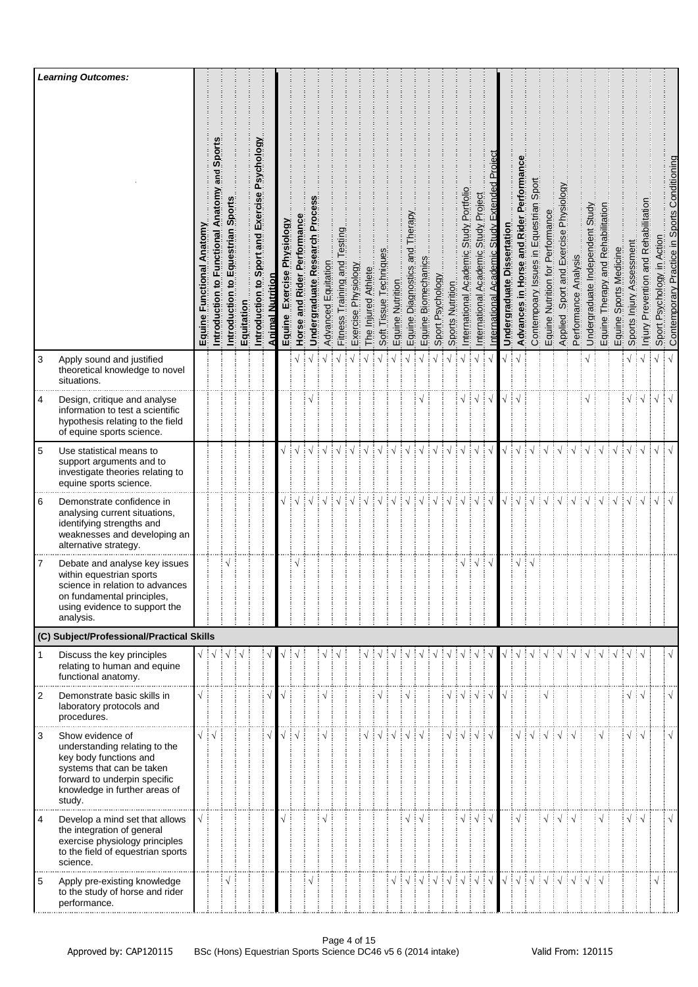|                | <b>Learning Outcomes:</b>                                                                                                                                                           |                                        |                                                |                                         |            |                                                  |                         |                                        |                                              |                             |                     |                                |                     |                     |                        |                  |                                    |                                    |                  |                                                         |                                                 |                                                |                                                                |                                  |                                       |                                        |                                  |                                                 |                                                                              |                                 |                                   |                           |                             |                                         |                               |                                              |
|----------------|-------------------------------------------------------------------------------------------------------------------------------------------------------------------------------------|----------------------------------------|------------------------------------------------|-----------------------------------------|------------|--------------------------------------------------|-------------------------|----------------------------------------|----------------------------------------------|-----------------------------|---------------------|--------------------------------|---------------------|---------------------|------------------------|------------------|------------------------------------|------------------------------------|------------------|---------------------------------------------------------|-------------------------------------------------|------------------------------------------------|----------------------------------------------------------------|----------------------------------|---------------------------------------|----------------------------------------|----------------------------------|-------------------------------------------------|------------------------------------------------------------------------------|---------------------------------|-----------------------------------|---------------------------|-----------------------------|-----------------------------------------|-------------------------------|----------------------------------------------|
|                |                                                                                                                                                                                     | Equine Functional Anatomy              | and Sport<br>Introduction to Functional Anatom | Spor<br>Equestrian<br>في<br>Introductio | Equitation | Sport and Exercise Psychology<br>Introduction to | <b>Animal Nutrition</b> | Physiology<br>Exercise<br>Equine       | Rider Performance<br>$\frac{1}{2}$<br>Horse? | Undergraduate Research Proc | Advanced Equitation | esting<br>Fitness Training and | Exercise Physiology | The Injured Athlete | Soft Tissue Techniques | Equine Nutrition | herap<br>pue<br>Equine Diagnostics | Equine Biomechanics                | Sport Psychology | Sports Nutrition                                        | Portfolio<br>Study<br>Academic<br>International | Project<br>Study.<br>Academic<br>International | n<br>Proj<br>Extended<br><b>Academic Study</b><br>nternational | ssertation<br>ä<br>Undergraduate | Advances in Horse and Rider Performan | Contempoary Issues in Equestrian Sport | Equine Nutrition for Performance | Sport and Exercise Physiology<br><b>Applied</b> | Analysis<br>Performance                                                      | Undergraduate Independent Study | Equine Therapy and Rehabilitation | Sports Medicine<br>Equine | Assessment<br>Sports Injury | Prevention and Rehabilitation<br>Injury | Psychology in Action<br>Sport | Contemporary Practice in Sports Conditioning |
| 3              | Apply sound and justified<br>theoretical knowledge to novel<br>situations.                                                                                                          |                                        |                                                |                                         |            |                                                  |                         |                                        |                                              |                             | $\sqrt{ }$          |                                |                     |                     | $\sqrt{ }$             | $\sqrt{ }$       |                                    |                                    |                  |                                                         | $\sqrt{ }$                                      |                                                |                                                                |                                  |                                       |                                        |                                  |                                                 |                                                                              |                                 |                                   |                           | $\sqrt{2}$                  |                                         | $\sqrt{}$                     | $\sqrt{ }$                                   |
| 4              | Design, critique and analyse<br>information to test a scientific<br>hypothesis relating to the field<br>of equine sports science.                                                   |                                        |                                                |                                         |            |                                                  |                         |                                        |                                              |                             |                     |                                |                     |                     |                        |                  |                                    |                                    |                  |                                                         |                                                 | $\sqrt{ }$                                     | ┊√                                                             |                                  |                                       |                                        |                                  |                                                 |                                                                              |                                 |                                   |                           | √ ∔√                        |                                         | $\sqrt{ }$                    | $\sqrt{ }$                                   |
| 5              | Use statistical means to<br>support arguments and to<br>investigate theories relating to<br>equine sports science.                                                                  |                                        |                                                |                                         |            |                                                  |                         |                                        |                                              |                             |                     |                                |                     |                     |                        |                  |                                    |                                    |                  |                                                         |                                                 |                                                |                                                                |                                  |                                       |                                        |                                  |                                                 |                                                                              |                                 |                                   |                           |                             | ∔ √                                     | $\sqrt{}$                     | $\sqrt{ }$                                   |
| 6              | Demonstrate confidence in<br>analysing current situations,<br>identifying strengths and<br>weaknesses and developing an<br>alternative strategy.                                    |                                        |                                                |                                         |            |                                                  |                         | $\sqrt{\frac{1}{2}}\sqrt{\frac{1}{2}}$ |                                              | ┆√                          | $\sqrt{ }$          |                                |                     |                     | $\sqrt{ }$             | $\sqrt{ }$       |                                    |                                    |                  | $\sqrt{ }$                                              | $\sqrt{ }$                                      | $\sqrt{ }$                                     | ं√                                                             | $\sqrt{}$                        | $\frac{1}{2}$                         | $\sqrt{ }$                             |                                  |                                                 |                                                                              | $\sqrt{ }$                      | $\sqrt{}$                         |                           | $\sqrt{2}$                  |                                         | $\sqrt{}$                     |                                              |
| 7              | Debate and analyse key issues<br>within equestrian sports<br>science in relation to advances<br>on fundamental principles,<br>using evidence to support the<br>analysis.            |                                        |                                                |                                         |            |                                                  |                         |                                        | N                                            |                             |                     |                                |                     |                     |                        |                  |                                    |                                    |                  |                                                         | $\sqrt{}$                                       | ‡√                                             | ∶√                                                             |                                  | $\sqrt{}$                             |                                        |                                  |                                                 |                                                                              |                                 |                                   |                           |                             |                                         |                               |                                              |
|                | (C) Subject/Professional/Practical Skills                                                                                                                                           |                                        |                                                |                                         |            |                                                  |                         |                                        |                                              |                             |                     |                                |                     |                     |                        |                  |                                    |                                    |                  |                                                         |                                                 |                                                |                                                                |                                  |                                       |                                        |                                  |                                                 |                                                                              |                                 |                                   |                           |                             |                                         |                               |                                              |
| $\mathbf{1}$   | Discuss the key principles<br>relating to human and equine<br>functional anatomy.                                                                                                   | $\sqrt{\frac{1}{2}}\sqrt{\frac{1}{2}}$ |                                                |                                         |            |                                                  |                         |                                        |                                              |                             |                     |                                |                     |                     |                        |                  |                                    |                                    |                  |                                                         |                                                 |                                                |                                                                |                                  |                                       |                                        |                                  |                                                 |                                                                              |                                 |                                   |                           |                             |                                         |                               |                                              |
| $\overline{2}$ | Demonstrate basic skills in<br>laboratory protocols and<br>procedures.                                                                                                              | $\sqrt{ }$                             |                                                |                                         |            |                                                  |                         |                                        |                                              |                             |                     |                                |                     |                     |                        |                  |                                    |                                    |                  | √ i √                                                   |                                                 | $\sqrt{ }$                                     |                                                                |                                  |                                       |                                        |                                  |                                                 |                                                                              |                                 |                                   |                           | $\sqrt{2}$                  |                                         |                               | $\sqrt{}$                                    |
| 3              | Show evidence of<br>understanding relating to the<br>key body functions and<br>systems that can be taken<br>forward to underpin specific<br>knowledge in further areas of<br>study. | $\sqrt{ \sqrt{25}}$                    |                                                |                                         |            |                                                  |                         |                                        | √ i √                                        |                             | $\mathbf{v}$        |                                |                     |                     |                        |                  |                                    |                                    |                  | √∃√                                                     |                                                 | $\sqrt{ }$                                     | ં√                                                             |                                  | √ ∔                                   | $\sqrt{ }$                             |                                  |                                                 |                                                                              |                                 |                                   |                           | $\sqrt{2}$                  |                                         |                               | $\sqrt{ }$                                   |
| $\overline{4}$ | Develop a mind set that allows<br>the integration of general<br>exercise physiology principles<br>to the field of equestrian sports<br>science.                                     | $\sqrt{ }$                             |                                                |                                         |            |                                                  |                         |                                        |                                              |                             |                     |                                |                     |                     |                        |                  | $\sqrt{}$                          | ÷ √                                |                  |                                                         | $\sqrt{}$                                       | $\vdots \vee$                                  | ∶√                                                             |                                  | $\sqrt{}$                             |                                        | $\sqrt{}$                        |                                                 |                                                                              |                                 |                                   |                           | $\sqrt{2}$                  |                                         |                               | $\sqrt{}$                                    |
| 5              | Apply pre-existing knowledge<br>to the study of horse and rider<br>performance.                                                                                                     |                                        |                                                |                                         |            |                                                  |                         |                                        |                                              |                             |                     |                                |                     |                     |                        |                  |                                    | $\frac{1}{2}$ $\sqrt{\frac{1}{2}}$ |                  | $\frac{1}{2}$ $\sqrt{\frac{1}{2}}$ $\sqrt{\frac{1}{2}}$ |                                                 | $\frac{1}{2}$                                  | ं√                                                             | $\sqrt{ }$                       | $\frac{1}{2}$ $\sqrt{2}$              |                                        | ं √                              |                                                 | $\frac{1}{2}$ $\sqrt{\frac{1}{2}}$ $\sqrt{\frac{1}{2}}$ $\sqrt{\frac{1}{2}}$ |                                 |                                   |                           |                             |                                         | √                             |                                              |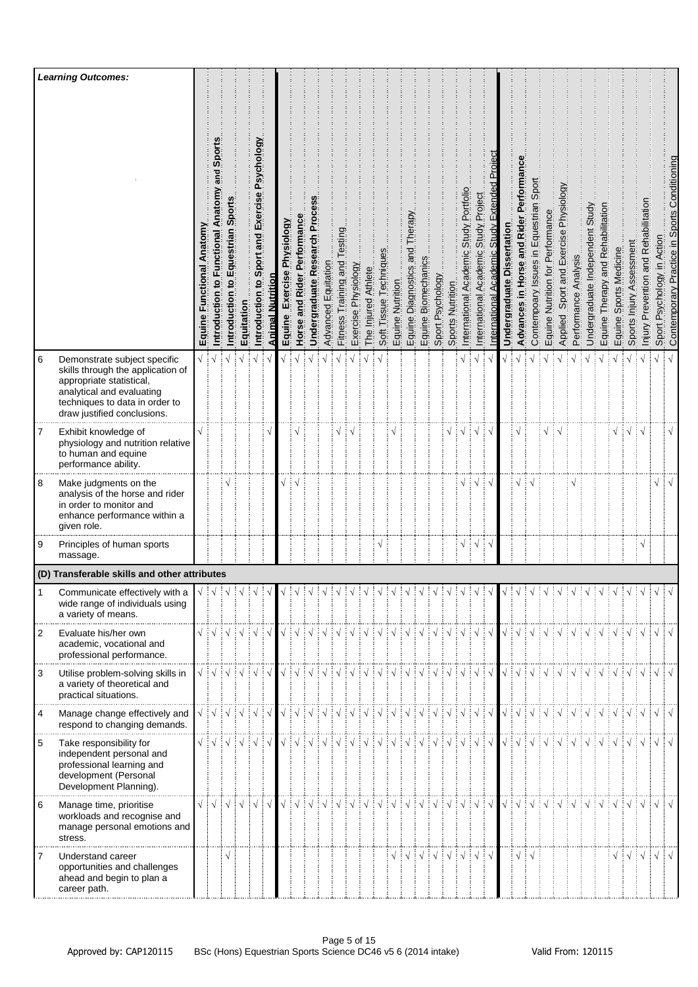|   | <b>Learning Outcomes:</b>                                                                                                                                                                   |                                     |                                                                                                                                                                                                                                                                                                                                                                                                                                             |                                  |            |                                               |                         |                               |                                        |                              |                                                                                                                                                                                                                                                                                                                                                                                                                                                                                                                                                    |                                          |                     |                     |                        |                  |                                     |                                         |                                                                                                                |                                                                        |                                               |                                               |                                 |                                          |                                                                                                                                                                                                                                                                                                                                                                                                                                                                                                                                                           |                                  |                                          |                         |                                 |                                                                                   |                           |                                                          |                                        |                               |                                              |
|---|---------------------------------------------------------------------------------------------------------------------------------------------------------------------------------------------|-------------------------------------|---------------------------------------------------------------------------------------------------------------------------------------------------------------------------------------------------------------------------------------------------------------------------------------------------------------------------------------------------------------------------------------------------------------------------------------------|----------------------------------|------------|-----------------------------------------------|-------------------------|-------------------------------|----------------------------------------|------------------------------|----------------------------------------------------------------------------------------------------------------------------------------------------------------------------------------------------------------------------------------------------------------------------------------------------------------------------------------------------------------------------------------------------------------------------------------------------------------------------------------------------------------------------------------------------|------------------------------------------|---------------------|---------------------|------------------------|------------------|-------------------------------------|-----------------------------------------|----------------------------------------------------------------------------------------------------------------|------------------------------------------------------------------------|-----------------------------------------------|-----------------------------------------------|---------------------------------|------------------------------------------|-----------------------------------------------------------------------------------------------------------------------------------------------------------------------------------------------------------------------------------------------------------------------------------------------------------------------------------------------------------------------------------------------------------------------------------------------------------------------------------------------------------------------------------------------------------|----------------------------------|------------------------------------------|-------------------------|---------------------------------|-----------------------------------------------------------------------------------|---------------------------|----------------------------------------------------------|----------------------------------------|-------------------------------|----------------------------------------------|
|   |                                                                                                                                                                                             | <b>Functional Anatomy</b><br>Equine | Sport<br>and<br>Introduction to Functional Anatomy                                                                                                                                                                                                                                                                                                                                                                                          | Sport<br>Equestrian<br>ntroducti | Equitation | Introduction to Sport and Exercise Psychology | <b>Animal Nutrition</b> | Exercise Physiology<br>Equine | Performance<br>Rider I<br>and<br>Horse | Undergraduate Research Proce | Advanced Equitation                                                                                                                                                                                                                                                                                                                                                                                                                                                                                                                                | esting<br>Training and<br><b>Fitness</b> | Exercise Physiology | The Injured Athlete | Soft Tissue Techniques | Equine Nutrition | herapy<br>pue<br>Equine Diagnostics | Equine Biomechanics<br>Sport Psychology | Sports Nutrition                                                                                               | Portfoli<br><b>Study</b><br>$\overline{0}$<br>Academi<br>International | Project<br>Study<br>Academic<br>International | Extended<br>Study<br>Academic<br>nternational | ssertatio<br>ō<br>Undergraduate | in Horse and Rider Performan<br>Advances | Sport<br>Contempoary Issues in Equestrian                                                                                                                                                                                                                                                                                                                                                                                                                                                                                                                 | Equine Nutrition for Performance | Sport and Exercise Physiology<br>Applied | Analysis<br>Performance | Undergraduate Independent Study | Equine Therapy and Rehabilitation                                                 | Sports Medicine<br>Equine | Sports Injury Assessment                                 | Prevention and Rehabilitatio<br>Injury | Psychology in Action<br>Sport | Contemporary Practice in Sports Conditioning |
| 6 | Demonstrate subject specific<br>skills through the application of<br>appropriate statistical,<br>analytical and evaluating<br>techniques to data in order to<br>draw justified conclusions. | $\sqrt{2}$                          |                                                                                                                                                                                                                                                                                                                                                                                                                                             |                                  |            |                                               |                         |                               |                                        |                              |                                                                                                                                                                                                                                                                                                                                                                                                                                                                                                                                                    |                                          |                     |                     |                        |                  |                                     |                                         |                                                                                                                |                                                                        |                                               |                                               |                                 |                                          |                                                                                                                                                                                                                                                                                                                                                                                                                                                                                                                                                           |                                  |                                          |                         |                                 |                                                                                   |                           |                                                          |                                        |                               |                                              |
| 7 | Exhibit knowledge of<br>physiology and nutrition relative<br>to human and equine<br>performance ability.                                                                                    |                                     |                                                                                                                                                                                                                                                                                                                                                                                                                                             |                                  |            |                                               |                         |                               |                                        |                              |                                                                                                                                                                                                                                                                                                                                                                                                                                                                                                                                                    |                                          |                     |                     |                        |                  |                                     |                                         | $\sqrt{}$                                                                                                      |                                                                        |                                               |                                               |                                 |                                          |                                                                                                                                                                                                                                                                                                                                                                                                                                                                                                                                                           |                                  |                                          |                         |                                 |                                                                                   | √                         | $\frac{1}{2}$ $\sqrt{2}$ $\frac{1}{2}$ $\sqrt{2}$        |                                        |                               | $\sqrt{}$                                    |
| 8 | Make judgments on the<br>analysis of the horse and rider<br>in order to monitor and<br>enhance performance within a<br>given role.                                                          |                                     |                                                                                                                                                                                                                                                                                                                                                                                                                                             |                                  |            |                                               |                         |                               |                                        |                              |                                                                                                                                                                                                                                                                                                                                                                                                                                                                                                                                                    |                                          |                     |                     |                        |                  |                                     |                                         |                                                                                                                | ٦                                                                      |                                               |                                               |                                 |                                          |                                                                                                                                                                                                                                                                                                                                                                                                                                                                                                                                                           |                                  |                                          |                         |                                 |                                                                                   |                           |                                                          |                                        | √                             | $\mathbf{v}$                                 |
| 9 | Principles of human sports<br>massage.                                                                                                                                                      |                                     |                                                                                                                                                                                                                                                                                                                                                                                                                                             |                                  |            |                                               |                         |                               |                                        |                              |                                                                                                                                                                                                                                                                                                                                                                                                                                                                                                                                                    |                                          |                     |                     | $\sqrt{}$              |                  |                                     |                                         |                                                                                                                | $\sqrt{}$                                                              | $\sqrt{ }$                                    |                                               |                                 |                                          |                                                                                                                                                                                                                                                                                                                                                                                                                                                                                                                                                           |                                  |                                          |                         |                                 |                                                                                   |                           |                                                          | $\sqrt{}$                              |                               |                                              |
|   | (D) Transferable skills and other attributes                                                                                                                                                |                                     |                                                                                                                                                                                                                                                                                                                                                                                                                                             |                                  |            |                                               |                         |                               |                                        |                              |                                                                                                                                                                                                                                                                                                                                                                                                                                                                                                                                                    |                                          |                     |                     |                        |                  |                                     |                                         |                                                                                                                |                                                                        |                                               |                                               |                                 |                                          |                                                                                                                                                                                                                                                                                                                                                                                                                                                                                                                                                           |                                  |                                          |                         |                                 |                                                                                   |                           |                                                          |                                        |                               |                                              |
|   | Communicate effectively with a<br>wide range of individuals using<br>a variety of means.                                                                                                    |                                     |                                                                                                                                                                                                                                                                                                                                                                                                                                             |                                  | ં√         |                                               |                         |                               |                                        |                              |                                                                                                                                                                                                                                                                                                                                                                                                                                                                                                                                                    |                                          |                     |                     |                        |                  |                                     |                                         |                                                                                                                |                                                                        |                                               |                                               |                                 |                                          |                                                                                                                                                                                                                                                                                                                                                                                                                                                                                                                                                           |                                  |                                          |                         |                                 |                                                                                   |                           |                                                          |                                        |                               |                                              |
| 2 | Evaluate his/her own<br>academic, vocational and<br>professional performance.                                                                                                               |                                     | $\begin{array}{c} \sqrt{\phantom{a}} : \sqrt{\phantom{a}} : \sqrt{\phantom{a}} : \sqrt{\phantom{a}} : \sqrt{\phantom{a}} : \sqrt{\phantom{a}} : \sqrt{\phantom{a}} \end{array}$                                                                                                                                                                                                                                                             |                                  |            |                                               |                         |                               |                                        |                              |                                                                                                                                                                                                                                                                                                                                                                                                                                                                                                                                                    |                                          |                     |                     |                        |                  |                                     |                                         |                                                                                                                |                                                                        |                                               |                                               |                                 |                                          |                                                                                                                                                                                                                                                                                                                                                                                                                                                                                                                                                           |                                  |                                          |                         |                                 |                                                                                   |                           |                                                          |                                        |                               |                                              |
| 3 | Utilise problem-solving skills in<br>a variety of theoretical and<br>practical situations.                                                                                                  |                                     | $\sqrt{3}$ $\sqrt{3}$ $\sqrt{3}$ $\sqrt{3}$ $\sqrt{3}$ $\sqrt{3}$ $\sqrt{3}$ $\sqrt{3}$                                                                                                                                                                                                                                                                                                                                                     |                                  |            |                                               |                         |                               |                                        |                              | $\begin{array}{c} \begin{array}{c} \sqrt{3} & \sqrt{3} & \sqrt{3} \\ \sqrt{3} & \sqrt{3} & \sqrt{3} \end{array} \end{array} \begin{array}{c} \begin{array}{c} \sqrt{3} & \sqrt{3} & \sqrt{3} \\ \sqrt{3} & \sqrt{3} & \sqrt{3} \end{array} \end{array} \begin{array}{c} \begin{array}{c} \sqrt{3} & \sqrt{3} & \sqrt{3} \\ \sqrt{3} & \sqrt{3} & \sqrt{3} \end{array} \end{array} \begin{array}{c} \begin{array}{c} \sqrt{3} & \sqrt{3} & \sqrt{3} \\ \sqrt{3} & \sqrt{3}$                                                                         |                                          |                     |                     |                        |                  |                                     |                                         |                                                                                                                |                                                                        |                                               |                                               |                                 |                                          | $\begin{array}{c} \begin{array}{c} \sqrt{\phantom{a}} \\ \end{array} \\ \begin{array}{c} \sqrt{\phantom{a}} \\ \end{array} \end{array} \begin{array}{c} \begin{array}{c} \sqrt{\phantom{a}} \\ \end{array} \\ \begin{array}{c} \sqrt{\phantom{a}} \\ \end{array} \end{array} \begin{array}{c} \begin{array}{c} \sqrt{\phantom{a}} \\ \end{array} \end{array} \begin{array}{c} \begin{array}{c} \sqrt{\phantom{a}} \\ \end{array} \end{array} \begin{array}{c} \begin{array}{c} \sqrt{\phantom{a}} \\ \end{array} \end{array} \begin{array}{c} \end{array$ |                                  |                                          |                         |                                 |                                                                                   |                           |                                                          |                                        | $\sqrt{d}$                    |                                              |
| 4 | Manage change effectively and<br>respond to changing demands.                                                                                                                               |                                     | $\begin{array}{c} \sqrt{2} & \sqrt{2} \\ \sqrt{2} & \sqrt{2} \\ \sqrt{2} & \sqrt{2} \\ \sqrt{2} & \sqrt{2} \\ \sqrt{2} & \sqrt{2} \\ \sqrt{2} & \sqrt{2} \\ \sqrt{2} & \sqrt{2} \\ \sqrt{2} & \sqrt{2} \\ \sqrt{2} & \sqrt{2} \\ \sqrt{2} & \sqrt{2} \\ \sqrt{2} & \sqrt{2} \\ \sqrt{2} & \sqrt{2} \\ \sqrt{2} & \sqrt{2} \\ \sqrt{2} & \sqrt{2} \\ \sqrt{2} & \sqrt{2} \\ \sqrt{2} & \sqrt{2} \\ \sqrt{2} & \sqrt{2} \\ \sqrt{2} & \sqrt{$ |                                  |            |                                               |                         |                               |                                        |                              | V V V V V V V V V V V V V V V V V V                                                                                                                                                                                                                                                                                                                                                                                                                                                                                                                |                                          |                     |                     |                        |                  |                                     |                                         |                                                                                                                |                                                                        |                                               |                                               |                                 |                                          | $\begin{array}{c} \begin{array}{c} \sqrt{3} & \sqrt{3} & \sqrt{3} \\ \sqrt{3} & \sqrt{3} & \sqrt{3} \\ \sqrt{3} & \sqrt{3} & \sqrt{3} \\ \sqrt{3} & \sqrt{3} & \sqrt{3} \\ \sqrt{3} & \sqrt{3} & \sqrt{3} \\ \sqrt{3} & \sqrt{3} & \sqrt{3} \\ \sqrt{3} & \sqrt{3} & \sqrt{3} \\ \sqrt{3} & \sqrt{3} & \sqrt{3} \\ \sqrt{3} & \sqrt{3} & \sqrt{3} \\ \sqrt{3} & \sqrt{3} & \sqrt{3} \\ \sqrt{3} & \sqrt{3} & \sqrt{3} \\ \sqrt{3} & \sqrt$                                                                                                                |                                  |                                          |                         |                                 |                                                                                   |                           |                                                          |                                        | $\sqrt{ }$                    | ┆√                                           |
| 5 | Take responsibility for<br>independent personal and<br>professional learning and<br>development (Personal<br>Development Planning).                                                         |                                     | $\begin{array}{c} \sqrt{3} & \sqrt{3} \\ \sqrt{3} & \sqrt{3} \\ \sqrt{3} & \sqrt{3} \\ \sqrt{3} & \sqrt{3} \\ \sqrt{3} & \sqrt{3} \\ \sqrt{3} & \sqrt{3} \\ \sqrt{3} & \sqrt{3} \\ \sqrt{3} & \sqrt{3} \\ \sqrt{3} & \sqrt{3} \\ \sqrt{3} & \sqrt{3} \\ \sqrt{3} & \sqrt{3} \\ \sqrt{3} & \sqrt{3} \\ \sqrt{3} & \sqrt{3} \\ \sqrt{3} & \sqrt{3} \\ \sqrt{3} & \sqrt{3} \\ \sqrt{3} & \sqrt{3} \\ \sqrt{3} & \sqrt{3} \\ \sqrt{3} & \sqrt{$ |                                  |            |                                               |                         |                               |                                        |                              | $\begin{array}{c} \begin{array}{c} \sqrt{\phantom{a}} \end{array} \end{array} \begin{array}{c} \begin{array}{c} \sqrt{\phantom{a}} \end{array} \end{array} \begin{array}{c} \begin{array}{c} \sqrt{\phantom{a}} \end{array} \end{array} \begin{array}{c} \begin{array}{c} \sqrt{\phantom{a}} \end{array} \end{array} \begin{array}{c} \begin{array}{c} \sqrt{\phantom{a}} \end{array} \end{array} \begin{array}{c} \begin{array}{c} \sqrt{\phantom{a}} \end{array} \end{array} \begin{array}{c} \begin{array}{c} \sqrt{\phantom{a}} \end{array} \$ |                                          |                     |                     |                        |                  |                                     |                                         |                                                                                                                |                                                                        |                                               |                                               |                                 |                                          | $\begin{array}{c} \begin{array}{c} \sqrt{3} & \sqrt{3} & \sqrt{3} \\ \sqrt{3} & \sqrt{3} & \sqrt{3} \end{array} \end{array} \begin{array}{c} \begin{array}{c} \sqrt{3} & \sqrt{3} & \sqrt{3} \\ \sqrt{3} & \sqrt{3} & \sqrt{3} \end{array} \end{array} \begin{array}{c} \begin{array}{c} \sqrt{3} & \sqrt{3} & \sqrt{3} \\ \sqrt{3} & \sqrt{3} & \sqrt{3} \end{array} \end{array}$                                                                                                                                                                        |                                  |                                          |                         |                                 |                                                                                   |                           |                                                          |                                        | $\sqrt{1}$                    |                                              |
| 6 | Manage time, prioritise<br>workloads and recognise and<br>manage personal emotions and<br>stress.                                                                                           | $\sqrt{ }$                          |                                                                                                                                                                                                                                                                                                                                                                                                                                             | $ \vee \vee $                    |            | $\sqrt{ \sqrt{2}}$                            | $\sqrt{ }$              |                               |                                        |                              | VIVIVIVIVIVIVIVIVIVIV                                                                                                                                                                                                                                                                                                                                                                                                                                                                                                                              |                                          |                     |                     |                        |                  |                                     |                                         |                                                                                                                |                                                                        | ┊√┊√│                                         |                                               |                                 |                                          | $\sqrt{3}$ $\sqrt{3}$ $\sqrt{3}$ $\sqrt{3}$ $\sqrt{3}$ $\sqrt{3}$ $\sqrt{3}$ $\sqrt{3}$ $\sqrt{3}$ $\sqrt{3}$ $\sqrt{3}$ $\sqrt{3}$ $\sqrt{3}$ $\sqrt{3}$ $\sqrt{3}$ $\sqrt{3}$ $\sqrt{3}$ $\sqrt{3}$ $\sqrt{3}$ $\sqrt{3}$ $\sqrt{3}$ $\sqrt{3}$ $\sqrt{3}$ $\sqrt{3}$ $\sqrt{3}$ $\sqrt{3}$ $\sqrt{3}$ $\sqrt{3$                                                                                                                                                                                                                                        |                                  |                                          |                         |                                 | $\exists \forall \exists \forall \exists \forall \exists \forall \exists \forall$ |                           |                                                          |                                        | $\sqrt{ \sqrt{2}}$            |                                              |
|   | Understand career<br>opportunities and challenges<br>ahead and begin to plan a<br>career path.                                                                                              |                                     |                                                                                                                                                                                                                                                                                                                                                                                                                                             | $\sqrt{ }$                       |            |                                               |                         |                               |                                        |                              |                                                                                                                                                                                                                                                                                                                                                                                                                                                                                                                                                    |                                          |                     |                     |                        |                  |                                     |                                         | $\sqrt{\frac{1}{2}}\sqrt{\frac{1}{2}}\sqrt{\frac{1}{2}}\sqrt{\frac{1}{2}}\sqrt{\frac{1}{2}}\sqrt{\frac{1}{2}}$ |                                                                        | $\frac{1}{2}$ $\sqrt{\frac{1}{2}}$            |                                               |                                 | $\sqrt{2}$                               |                                                                                                                                                                                                                                                                                                                                                                                                                                                                                                                                                           |                                  |                                          |                         |                                 |                                                                                   |                           | $\sqrt{\frac{1}{2}}\sqrt{\frac{1}{2}}\sqrt{\frac{1}{2}}$ |                                        | $\sqrt{ }$                    |                                              |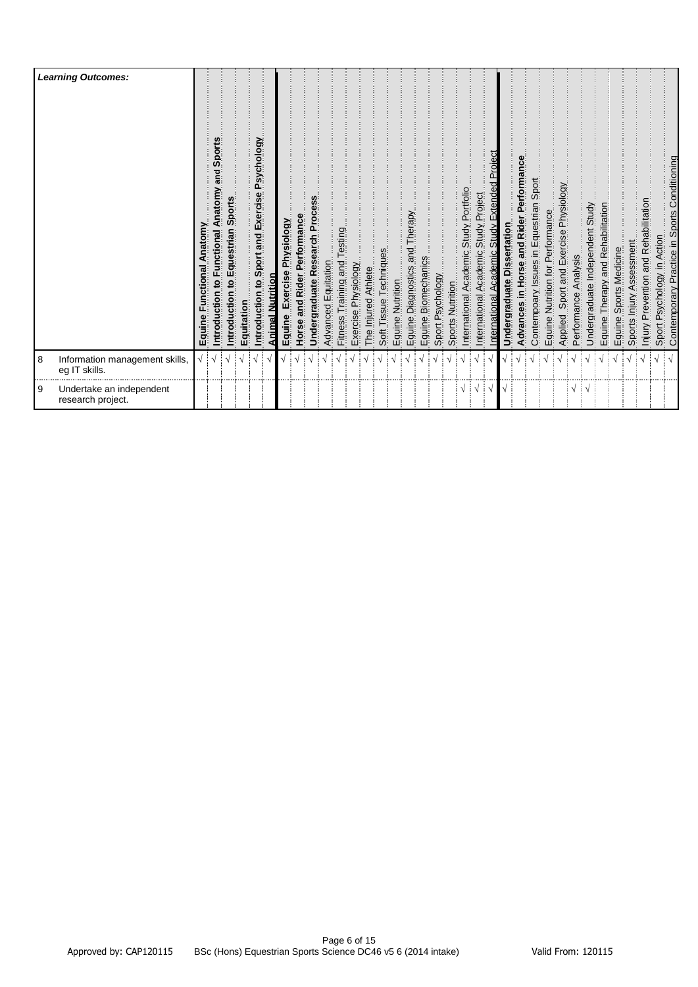|          | <b>Learning Outcomes:</b>                       | Anatomy<br>unctional<br>Equine | Sports<br>püe<br>Anatomy<br>ntroduction to Functional | Sports<br>n to Equestrian<br>ntroductio | Equitation | Psychology<br>Introduction to Sport and Exercise | <u>Animal Nutrition</u> | Exercise Physiology<br>Equine | and Rider Performance<br>Horse | Undergraduate Research Process | Advanced Equitation | Testing<br>Training and<br>Fitness <sup>-</sup> | Exercise Physiology | The Injured Athlete | Techniques<br>Soft Tissue | Equine Nutrition | Equine Diagnostics and Therapy | Equine Biomechanics | Sport Psychology | Sports Nutrition | International Academic Study Portfolio | Study Project<br>Academic<br>International | Study Extended Proiect<br>Academic<br>nternational | ssertation<br>Undergraduate Di | Advances in Horse and Rider Performance | Contempoary Issues in Equestrian Sport | Equine Nutrition for Performance | Applied Sport and Exercise Physiology | Analysis<br>Performance | Undergraduate Independent Study | Therapy and Rehabilitation<br>Equine | Sports Medicine<br>Equine | Sports Injury Assessment | Injury Prevention and Rehabilitation | Sport Psychology in Action | Contemporary Practice in Sports Conditioning |
|----------|-------------------------------------------------|--------------------------------|-------------------------------------------------------|-----------------------------------------|------------|--------------------------------------------------|-------------------------|-------------------------------|--------------------------------|--------------------------------|---------------------|-------------------------------------------------|---------------------|---------------------|---------------------------|------------------|--------------------------------|---------------------|------------------|------------------|----------------------------------------|--------------------------------------------|----------------------------------------------------|--------------------------------|-----------------------------------------|----------------------------------------|----------------------------------|---------------------------------------|-------------------------|---------------------------------|--------------------------------------|---------------------------|--------------------------|--------------------------------------|----------------------------|----------------------------------------------|
| 8        | Information management skills,<br>eg IT skills. |                                |                                                       |                                         |            |                                                  |                         |                               |                                |                                |                     |                                                 |                     |                     |                           |                  |                                |                     |                  |                  |                                        |                                            |                                                    |                                |                                         |                                        |                                  |                                       |                         |                                 |                                      |                           |                          |                                      |                            |                                              |
| <b>9</b> | Undertake an independent<br>research project.   |                                |                                                       |                                         |            |                                                  |                         |                               |                                |                                |                     |                                                 |                     |                     |                           |                  |                                |                     |                  |                  | $\sqrt{2}$                             |                                            | ∹ √                                                |                                |                                         |                                        |                                  |                                       | $\sqrt{11}$             |                                 |                                      |                           |                          |                                      |                            |                                              |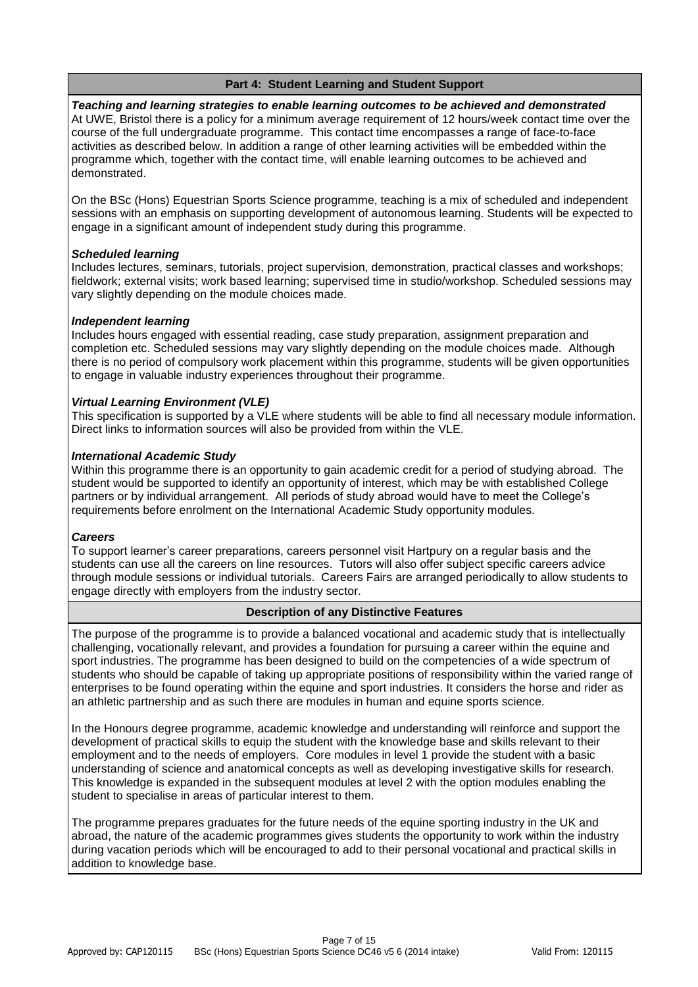# **Part 4: Student Learning and Student Support**

*Teaching and learning strategies to enable learning outcomes to be achieved and demonstrated* At UWE, Bristol there is a policy for a minimum average requirement of 12 hours/week contact time over the course of the full undergraduate programme. This contact time encompasses a range of face-to-face activities as described below. In addition a range of other learning activities will be embedded within the programme which, together with the contact time, will enable learning outcomes to be achieved and demonstrated.

On the BSc (Hons) Equestrian Sports Science programme, teaching is a mix of scheduled and independent sessions with an emphasis on supporting development of autonomous learning. Students will be expected to engage in a significant amount of independent study during this programme.

# *Scheduled learning*

Includes lectures, seminars, tutorials, project supervision, demonstration, practical classes and workshops; fieldwork; external visits; work based learning; supervised time in studio/workshop. Scheduled sessions may vary slightly depending on the module choices made.

### *Independent learning*

Includes hours engaged with essential reading, case study preparation, assignment preparation and completion etc. Scheduled sessions may vary slightly depending on the module choices made. Although there is no period of compulsory work placement within this programme, students will be given opportunities to engage in valuable industry experiences throughout their programme.

### *Virtual Learning Environment (VLE)*

This specification is supported by a VLE where students will be able to find all necessary module information. Direct links to information sources will also be provided from within the VLE.

### *International Academic Study*

Within this programme there is an opportunity to gain academic credit for a period of studying abroad. The student would be supported to identify an opportunity of interest, which may be with established College partners or by individual arrangement. All periods of study abroad would have to meet the College's requirements before enrolment on the International Academic Study opportunity modules.

#### *Careers*

To support learner's career preparations, careers personnel visit Hartpury on a regular basis and the students can use all the careers on line resources. Tutors will also offer subject specific careers advice through module sessions or individual tutorials. Careers Fairs are arranged periodically to allow students to engage directly with employers from the industry sector.

# **Description of any Distinctive Features**

The purpose of the programme is to provide a balanced vocational and academic study that is intellectually challenging, vocationally relevant, and provides a foundation for pursuing a career within the equine and sport industries. The programme has been designed to build on the competencies of a wide spectrum of students who should be capable of taking up appropriate positions of responsibility within the varied range of enterprises to be found operating within the equine and sport industries. It considers the horse and rider as an athletic partnership and as such there are modules in human and equine sports science.

In the Honours degree programme, academic knowledge and understanding will reinforce and support the development of practical skills to equip the student with the knowledge base and skills relevant to their employment and to the needs of employers. Core modules in level 1 provide the student with a basic understanding of science and anatomical concepts as well as developing investigative skills for research. This knowledge is expanded in the subsequent modules at level 2 with the option modules enabling the student to specialise in areas of particular interest to them.

The programme prepares graduates for the future needs of the equine sporting industry in the UK and abroad, the nature of the academic programmes gives students the opportunity to work within the industry during vacation periods which will be encouraged to add to their personal vocational and practical skills in addition to knowledge base.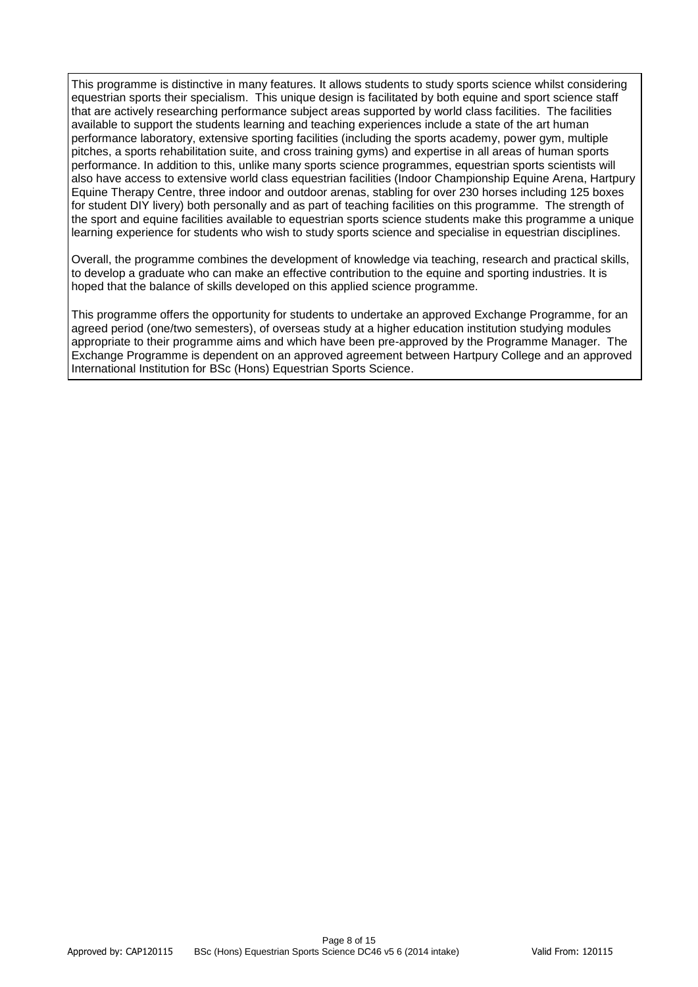This programme is distinctive in many features. It allows students to study sports science whilst considering equestrian sports their specialism. This unique design is facilitated by both equine and sport science staff that are actively researching performance subject areas supported by world class facilities. The facilities available to support the students learning and teaching experiences include a state of the art human performance laboratory, extensive sporting facilities (including the sports academy, power gym, multiple pitches, a sports rehabilitation suite, and cross training gyms) and expertise in all areas of human sports performance. In addition to this, unlike many sports science programmes, equestrian sports scientists will also have access to extensive world class equestrian facilities (Indoor Championship Equine Arena, Hartpury Equine Therapy Centre, three indoor and outdoor arenas, stabling for over 230 horses including 125 boxes for student DIY livery) both personally and as part of teaching facilities on this programme. The strength of the sport and equine facilities available to equestrian sports science students make this programme a unique learning experience for students who wish to study sports science and specialise in equestrian disciplines.

Overall, the programme combines the development of knowledge via teaching, research and practical skills, to develop a graduate who can make an effective contribution to the equine and sporting industries. It is hoped that the balance of skills developed on this applied science programme.

This programme offers the opportunity for students to undertake an approved Exchange Programme, for an agreed period (one/two semesters), of overseas study at a higher education institution studying modules appropriate to their programme aims and which have been pre-approved by the Programme Manager. The Exchange Programme is dependent on an approved agreement between Hartpury College and an approved International Institution for BSc (Hons) Equestrian Sports Science.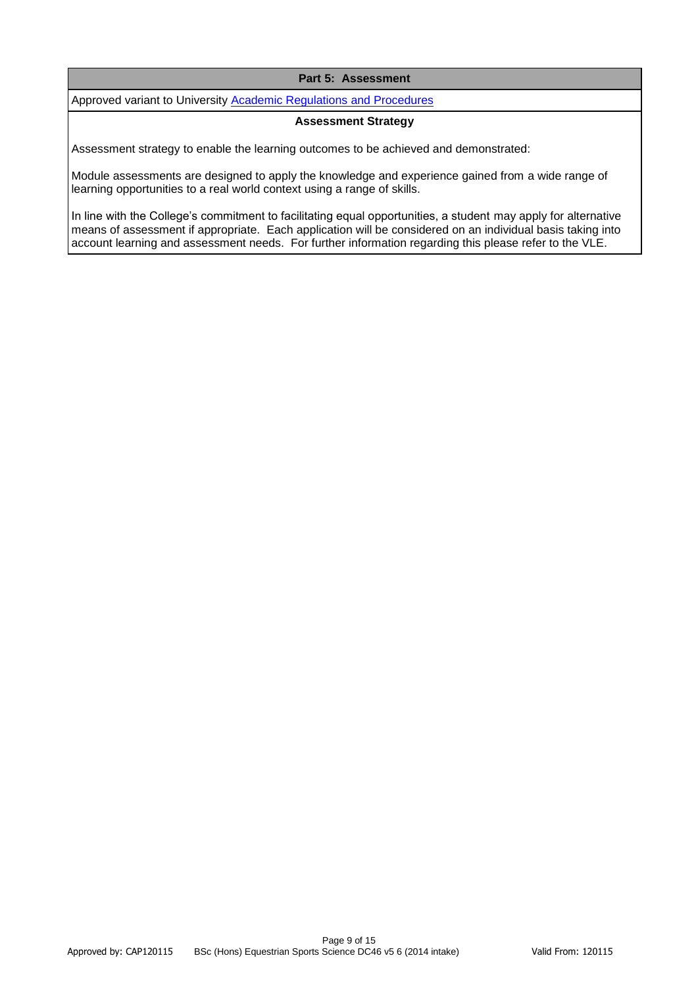### **Part 5: Assessment**

Approved variant to University **Academic Regulations and Procedures** 

#### **Assessment Strategy**

Assessment strategy to enable the learning outcomes to be achieved and demonstrated:

Module assessments are designed to apply the knowledge and experience gained from a wide range of learning opportunities to a real world context using a range of skills.

In line with the College's commitment to facilitating equal opportunities, a student may apply for alternative means of assessment if appropriate. Each application will be considered on an individual basis taking into account learning and assessment needs. For further information regarding this please refer to the VLE.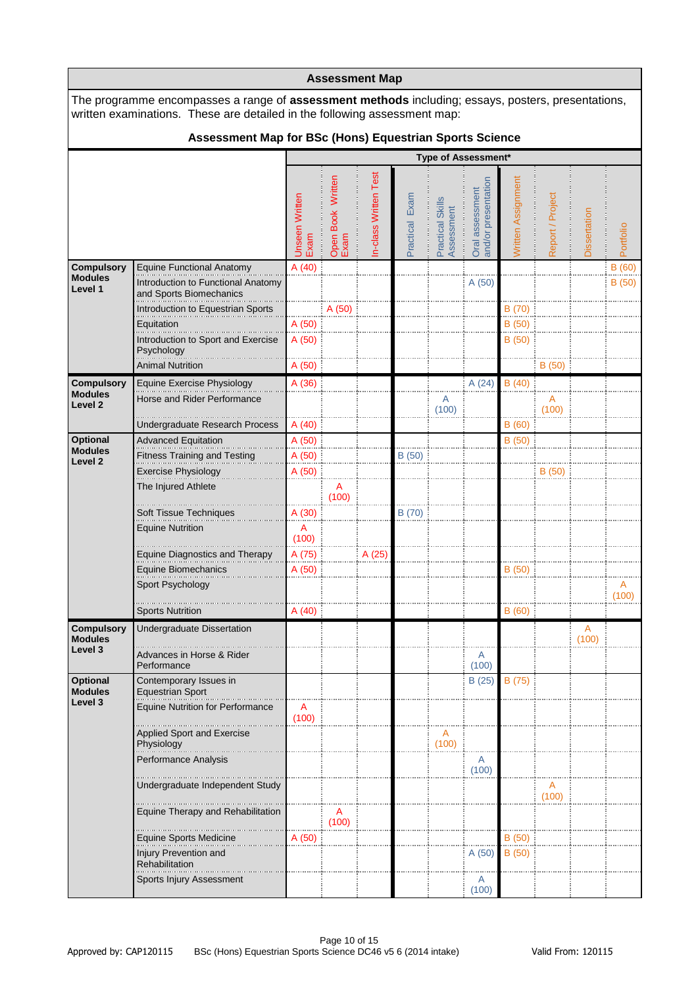|                                      |                                                                                                                                                                                        |                               |                           | <b>Assessment Map</b> |                |                               |                                        |                    |                  |                         |           |
|--------------------------------------|----------------------------------------------------------------------------------------------------------------------------------------------------------------------------------------|-------------------------------|---------------------------|-----------------------|----------------|-------------------------------|----------------------------------------|--------------------|------------------|-------------------------|-----------|
|                                      | The programme encompasses a range of <b>assessment methods</b> including; essays, posters, presentations,<br>written examinations. These are detailed in the following assessment map: |                               |                           |                       |                |                               |                                        |                    |                  |                         |           |
|                                      | Assessment Map for BSc (Hons) Equestrian Sports Science                                                                                                                                |                               |                           |                       |                |                               |                                        |                    |                  |                         |           |
|                                      |                                                                                                                                                                                        |                               |                           |                       |                | Type of Assessment*           |                                        |                    |                  |                         |           |
|                                      |                                                                                                                                                                                        | <b>Unseen Written</b><br>Exam | Open Book Written<br>Exam | In-class Written Test | Practical Exam | Practical Skill<br>Assessment | Oral assessment<br>and/or presentation | Written Assignment | Report / Project | Dissertation            | Portfolio |
| <b>Compulsory</b>                    | <b>Equine Functional Anatomy</b>                                                                                                                                                       | A(40)                         |                           |                       |                |                               |                                        |                    |                  |                         | B(60)     |
| <b>Modules</b><br>Level 1            | Introduction to Functional Anatomy<br>and Sports Biomechanics                                                                                                                          |                               |                           |                       |                |                               | A (50)                                 |                    |                  |                         | B(50)     |
|                                      | Introduction to Equestrian Sports                                                                                                                                                      |                               | A (50)                    |                       |                |                               |                                        | B (70)             |                  |                         |           |
|                                      | Equitation<br>Introduction to Sport and Exercise<br>Psychology                                                                                                                         | A (50)<br>A (50)              |                           |                       |                |                               |                                        | B (50)<br>B (50)   |                  |                         |           |
|                                      | <b>Animal Nutrition</b>                                                                                                                                                                | A (50)                        |                           |                       |                |                               |                                        |                    | B (50)           |                         |           |
| <b>Compulsory</b>                    | Equine Exercise Physiology                                                                                                                                                             | A (36)                        |                           |                       |                |                               | A(24)                                  | B(40)              |                  |                         |           |
| <b>Modules</b><br>Level <sub>2</sub> | Horse and Rider Performance                                                                                                                                                            |                               |                           |                       |                | Α<br>(100)                    |                                        |                    | A<br>(100)       |                         |           |
|                                      | Undergraduate Research Process                                                                                                                                                         | A(40)                         |                           |                       |                |                               |                                        | B(60)              |                  |                         |           |
| <b>Optional</b>                      | <b>Advanced Equitation</b>                                                                                                                                                             | A (50)                        |                           |                       |                |                               |                                        | B(50)              |                  |                         |           |
| <b>Modules</b><br>Level <sub>2</sub> | <b>Fitness Training and Testing</b>                                                                                                                                                    | A (50)                        |                           |                       | B (50)         |                               |                                        |                    |                  |                         |           |
|                                      | <b>Exercise Physiology</b>                                                                                                                                                             | A (50)                        |                           |                       |                |                               |                                        |                    | B(50)            |                         |           |
|                                      | The Injured Athlete                                                                                                                                                                    |                               | A<br>(100)                |                       |                |                               |                                        |                    |                  |                         |           |
|                                      | Soft Tissue Techniques                                                                                                                                                                 | A (30)                        |                           |                       | B (70)         |                               |                                        |                    |                  |                         |           |
|                                      | <b>Equine Nutrition</b>                                                                                                                                                                | A<br>(100)                    |                           |                       |                |                               |                                        |                    |                  |                         |           |
|                                      | <b>Equine Diagnostics and Therapy</b>                                                                                                                                                  | A (75)                        |                           | A (25)                |                |                               |                                        |                    |                  |                         |           |
|                                      | Equine Biomechanics                                                                                                                                                                    | A (50)                        |                           |                       |                |                               |                                        | B(50)              |                  |                         |           |
|                                      | Sport Psychology                                                                                                                                                                       |                               |                           |                       |                |                               |                                        |                    |                  |                         | Α         |
|                                      |                                                                                                                                                                                        |                               |                           |                       |                |                               |                                        |                    |                  |                         | (100)     |
|                                      | <b>Sports Nutrition</b>                                                                                                                                                                | A(40)                         |                           |                       |                |                               |                                        | B(60)              |                  |                         |           |
| <b>Compulsory</b><br><b>Modules</b>  | Undergraduate Dissertation                                                                                                                                                             |                               |                           |                       |                |                               |                                        |                    |                  | $\overline{A}$<br>(100) |           |
| Level 3                              | Advances in Horse & Rider<br>Performance                                                                                                                                               |                               |                           |                       |                |                               | A<br>(100)                             |                    |                  |                         |           |
| <b>Optional</b><br><b>Modules</b>    | Contemporary Issues in<br><b>Equestrian Sport</b>                                                                                                                                      |                               |                           |                       |                |                               | B(25)                                  | B (75)             |                  |                         |           |
| Level 3                              | <b>Equine Nutrition for Performance</b>                                                                                                                                                | A<br>(100)                    |                           |                       |                |                               |                                        |                    |                  |                         |           |
|                                      | <b>Applied Sport and Exercise</b><br>Physiology                                                                                                                                        |                               |                           |                       |                | A<br>(100)                    |                                        |                    |                  |                         |           |
|                                      | Performance Analysis                                                                                                                                                                   |                               |                           |                       |                |                               | A                                      |                    |                  |                         |           |
|                                      |                                                                                                                                                                                        |                               |                           |                       |                |                               | (100)                                  |                    |                  |                         |           |
|                                      | Undergraduate Independent Study                                                                                                                                                        |                               |                           |                       |                |                               |                                        |                    | A<br>(100)       |                         |           |
|                                      | Equine Therapy and Rehabilitation                                                                                                                                                      |                               | A<br>(100)                |                       |                |                               |                                        |                    |                  |                         |           |
|                                      | <b>Equine Sports Medicine</b>                                                                                                                                                          | A (50)                        |                           |                       |                |                               |                                        | B (50)             |                  |                         |           |
|                                      | Injury Prevention and<br><b>Rehabilitation</b>                                                                                                                                         |                               |                           |                       |                |                               | A(50)                                  | B(50)              |                  |                         |           |
|                                      | Sports Injury Assessment                                                                                                                                                               |                               |                           |                       |                |                               | A<br>(100)                             |                    |                  |                         |           |

 $\mathbf{r}$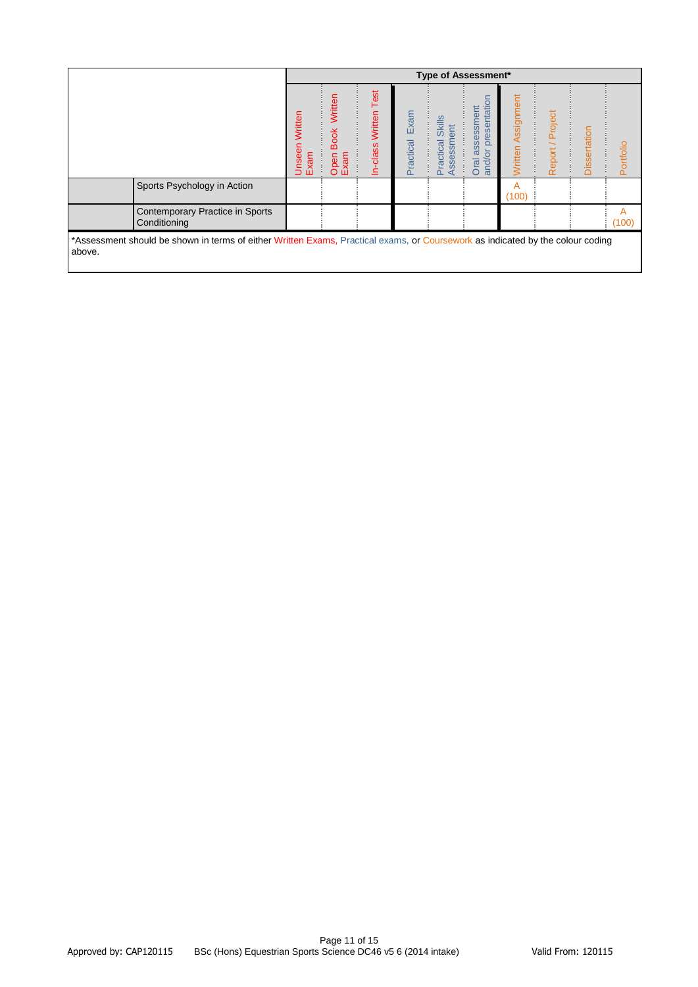|                                                                                                                                          |                        |                                        |                                |                   | <b>Type of Assessment*</b>                   |                                                              |                              |                     |              |            |
|------------------------------------------------------------------------------------------------------------------------------------------|------------------------|----------------------------------------|--------------------------------|-------------------|----------------------------------------------|--------------------------------------------------------------|------------------------------|---------------------|--------------|------------|
|                                                                                                                                          | Unseen Written<br>Exam | Written<br><b>Book</b><br>Open<br>Exam | Test<br>Written<br>-class<br>≘ | Exam<br>Practical | <b>Skills</b><br>ssessment<br>Practical<br>◀ | presentation<br>assessment<br>$\overline{5}$<br>Oral<br>and/ | Assignment<br><b>Nritten</b> | / Project<br>Report | Dissertation | Portfolio  |
| Sports Psychology in Action                                                                                                              |                        |                                        |                                |                   |                                              |                                                              | A<br>(100)                   |                     |              |            |
| Contemporary Practice in Sports<br>Conditioning                                                                                          |                        |                                        |                                |                   |                                              |                                                              |                              |                     |              | A<br>(100) |
| *Assessment should be shown in terms of either Written Exams, Practical exams, or Coursework as indicated by the colour coding<br>above. |                        |                                        |                                |                   |                                              |                                                              |                              |                     |              |            |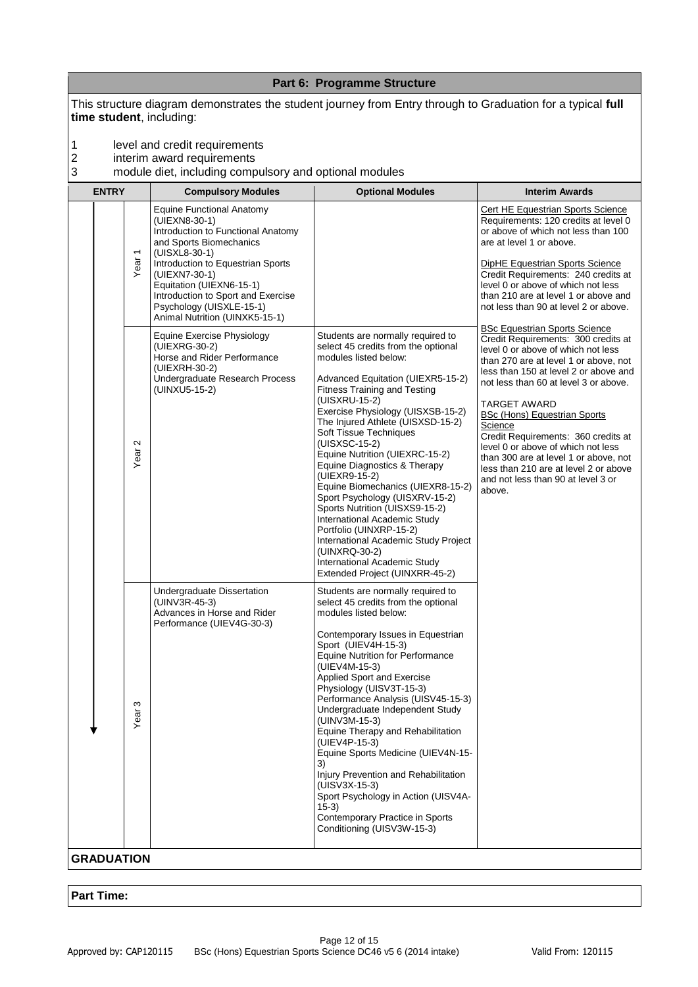|                                |                                                                                                                                                                                                                                                                                                                                                                                                                                                            | Part 6: Programme Structure                                                                                                                                                                                                                                                                                                                                                                                                                                                                                                                                                                                                                                 |                                                                                                                                                                                                                                                                                                                                                                                                                                                                                                                                                                                               |
|--------------------------------|------------------------------------------------------------------------------------------------------------------------------------------------------------------------------------------------------------------------------------------------------------------------------------------------------------------------------------------------------------------------------------------------------------------------------------------------------------|-------------------------------------------------------------------------------------------------------------------------------------------------------------------------------------------------------------------------------------------------------------------------------------------------------------------------------------------------------------------------------------------------------------------------------------------------------------------------------------------------------------------------------------------------------------------------------------------------------------------------------------------------------------|-----------------------------------------------------------------------------------------------------------------------------------------------------------------------------------------------------------------------------------------------------------------------------------------------------------------------------------------------------------------------------------------------------------------------------------------------------------------------------------------------------------------------------------------------------------------------------------------------|
| time student, including:       |                                                                                                                                                                                                                                                                                                                                                                                                                                                            | This structure diagram demonstrates the student journey from Entry through to Graduation for a typical full                                                                                                                                                                                                                                                                                                                                                                                                                                                                                                                                                 |                                                                                                                                                                                                                                                                                                                                                                                                                                                                                                                                                                                               |
| 1<br>2<br>3                    | level and credit requirements<br>interim award requirements<br>module diet, including compulsory and optional modules                                                                                                                                                                                                                                                                                                                                      |                                                                                                                                                                                                                                                                                                                                                                                                                                                                                                                                                                                                                                                             |                                                                                                                                                                                                                                                                                                                                                                                                                                                                                                                                                                                               |
| <b>ENTRY</b>                   | <b>Compulsory Modules</b>                                                                                                                                                                                                                                                                                                                                                                                                                                  | <b>Optional Modules</b>                                                                                                                                                                                                                                                                                                                                                                                                                                                                                                                                                                                                                                     | <b>Interim Awards</b>                                                                                                                                                                                                                                                                                                                                                                                                                                                                                                                                                                         |
| Year <sub>1</sub>              | <b>Equine Functional Anatomy</b><br>(UIEXN8-30-1)<br>Introduction to Functional Anatomy<br>and Sports Biomechanics<br>(UISXL8-30-1)<br>Introduction to Equestrian Sports<br>(UIEXN7-30-1)<br>Equitation (UIEXN6-15-1)<br>Introduction to Sport and Exercise<br>Psychology (UISXLE-15-1)<br>Animal Nutrition (UINXK5-15-1)<br>Equine Exercise Physiology<br>(UIEXRG-30-2)<br>Horse and Rider Performance<br>(UIEXRH-30-2)<br>Undergraduate Research Process | Students are normally required to<br>select 45 credits from the optional<br>modules listed below:<br>Advanced Equitation (UIEXR5-15-2)                                                                                                                                                                                                                                                                                                                                                                                                                                                                                                                      | Cert HE Equestrian Sports Science<br>Requirements: 120 credits at level 0<br>or above of which not less than 100<br>are at level 1 or above.<br>DipHE Equestrian Sports Science<br>Credit Requirements: 240 credits at<br>level 0 or above of which not less<br>than 210 are at level 1 or above and<br>not less than 90 at level 2 or above.<br><b>BSc Equestrian Sports Science</b><br>Credit Requirements: 300 credits at<br>level 0 or above of which not less<br>than 270 are at level 1 or above, not<br>less than 150 at level 2 or above and<br>not less than 60 at level 3 or above. |
| $\sim$<br>Year                 | (UINXU5-15-2)                                                                                                                                                                                                                                                                                                                                                                                                                                              | <b>Fitness Training and Testing</b><br>(UISXRU-15-2)<br>Exercise Physiology (UISXSB-15-2)<br>The Injured Athlete (UISXSD-15-2)<br>Soft Tissue Techniques<br>(UISXSC-15-2)<br>Equine Nutrition (UIEXRC-15-2)<br>Equine Diagnostics & Therapy<br>(UIEXR9-15-2)<br>Equine Biomechanics (UIEXR8-15-2)<br>Sport Psychology (UISXRV-15-2)<br>Sports Nutrition (UISXS9-15-2)<br>International Academic Study<br>Portfolio (UINXRP-15-2)<br>International Academic Study Project<br>(UINXRQ-30-2)<br>International Academic Study<br>Extended Project (UINXRR-45-2)                                                                                                 | TARGET AWARD<br><b>BSc (Hons) Equestrian Sports</b><br>Science<br>Credit Requirements: 360 credits at<br>level 0 or above of which not less<br>than 300 are at level 1 or above, not<br>less than 210 are at level 2 or above<br>and not less than 90 at level 3 or<br>above.                                                                                                                                                                                                                                                                                                                 |
| S<br>Year<br><b>GRADUATION</b> | Undergraduate Dissertation<br>$(UINV3R-45-3)$<br>Advances in Horse and Rider<br>Performance (UIEV4G-30-3)                                                                                                                                                                                                                                                                                                                                                  | Students are normally required to<br>select 45 credits from the optional<br>modules listed below:<br>Contemporary Issues in Equestrian<br>Sport (UIEV4H-15-3)<br><b>Equine Nutrition for Performance</b><br>(UIEV4M-15-3)<br>Applied Sport and Exercise<br>Physiology (UISV3T-15-3)<br>Performance Analysis (UISV45-15-3)<br>Undergraduate Independent Study<br>(UINV3M-15-3)<br>Equine Therapy and Rehabilitation<br>(UIEV4P-15-3)<br>Equine Sports Medicine (UIEV4N-15-<br>3)<br>Injury Prevention and Rehabilitation<br>(UISV3X-15-3)<br>Sport Psychology in Action (UISV4A-<br>$15-3)$<br>Contemporary Practice in Sports<br>Conditioning (UISV3W-15-3) |                                                                                                                                                                                                                                                                                                                                                                                                                                                                                                                                                                                               |
|                                |                                                                                                                                                                                                                                                                                                                                                                                                                                                            |                                                                                                                                                                                                                                                                                                                                                                                                                                                                                                                                                                                                                                                             |                                                                                                                                                                                                                                                                                                                                                                                                                                                                                                                                                                                               |

# **Part Time:**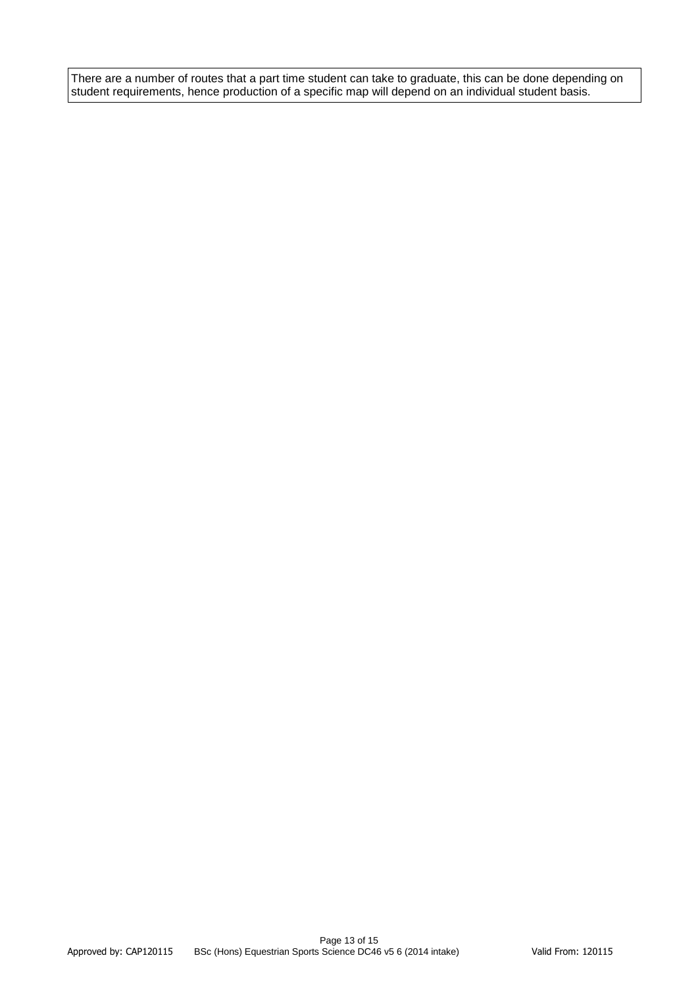There are a number of routes that a part time student can take to graduate, this can be done depending on student requirements, hence production of a specific map will depend on an individual student basis.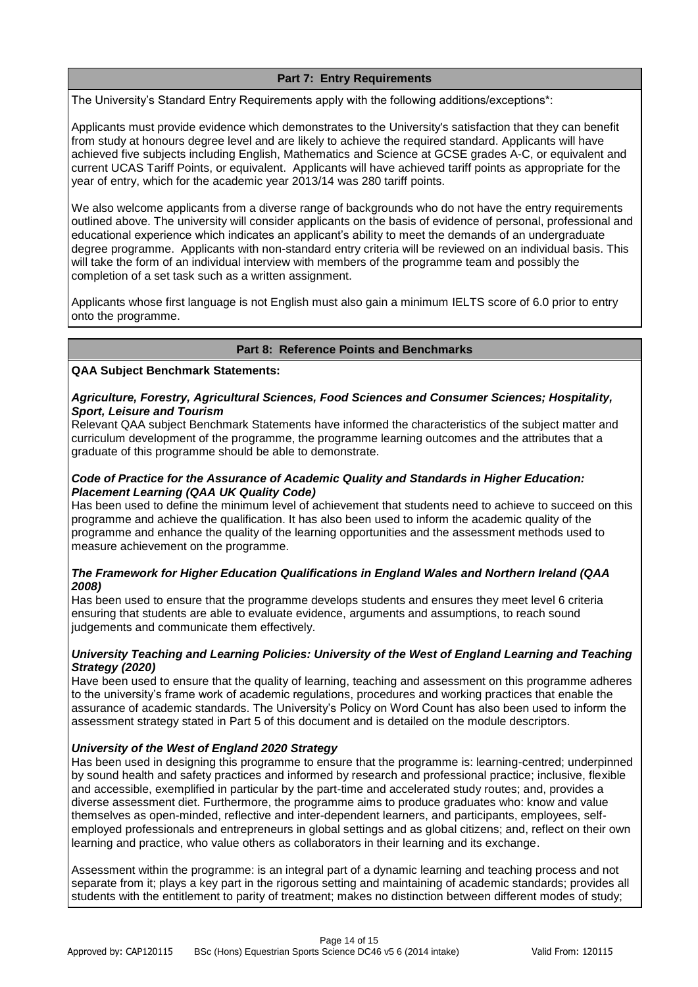# **Part 7: Entry Requirements**

The University's Standard Entry Requirements apply with the following additions/exceptions\*:

Applicants must provide evidence which demonstrates to the University's satisfaction that they can benefit from study at honours degree level and are likely to achieve the required standard. Applicants will have achieved five subjects including English, Mathematics and Science at GCSE grades A-C, or equivalent and current UCAS Tariff Points, or equivalent. Applicants will have achieved tariff points as appropriate for the year of entry, which for the academic year 2013/14 was 280 tariff points.

We also welcome applicants from a diverse range of backgrounds who do not have the entry requirements outlined above. The university will consider applicants on the basis of evidence of personal, professional and educational experience which indicates an applicant's ability to meet the demands of an undergraduate degree programme. Applicants with non-standard entry criteria will be reviewed on an individual basis. This will take the form of an individual interview with members of the programme team and possibly the completion of a set task such as a written assignment.

Applicants whose first language is not English must also gain a minimum IELTS score of 6.0 prior to entry onto the programme.

### **Part 8: Reference Points and Benchmarks**

**QAA Subject Benchmark Statements:**

#### *Agriculture, Forestry, Agricultural Sciences, Food Sciences and Consumer Sciences; Hospitality, Sport, Leisure and Tourism*

Relevant QAA subject Benchmark Statements have informed the characteristics of the subject matter and curriculum development of the programme, the programme learning outcomes and the attributes that a graduate of this programme should be able to demonstrate.

# *Code of Practice for the Assurance of Academic Quality and Standards in Higher Education: Placement Learning (QAA UK Quality Code)*

Has been used to define the minimum level of achievement that students need to achieve to succeed on this programme and achieve the qualification. It has also been used to inform the academic quality of the programme and enhance the quality of the learning opportunities and the assessment methods used to measure achievement on the programme.

# *The Framework for Higher Education Qualifications in England Wales and Northern Ireland (QAA 2008)*

Has been used to ensure that the programme develops students and ensures they meet level 6 criteria ensuring that students are able to evaluate evidence, arguments and assumptions, to reach sound judgements and communicate them effectively.

# *University Teaching and Learning Policies: University of the West of England Learning and Teaching Strategy (2020)*

Have been used to ensure that the quality of learning, teaching and assessment on this programme adheres to the university's frame work of academic regulations, procedures and working practices that enable the assurance of academic standards. The University's Policy on Word Count has also been used to inform the assessment strategy stated in Part 5 of this document and is detailed on the module descriptors.

# *University of the West of England 2020 Strategy*

Has been used in designing this programme to ensure that the programme is: learning-centred; underpinned by sound health and safety practices and informed by research and professional practice; inclusive, flexible and accessible, exemplified in particular by the part-time and accelerated study routes; and, provides a diverse assessment diet. Furthermore, the programme aims to produce graduates who: know and value themselves as open-minded, reflective and inter-dependent learners, and participants, employees, selfemployed professionals and entrepreneurs in global settings and as global citizens; and, reflect on their own learning and practice, who value others as collaborators in their learning and its exchange.

Assessment within the programme: is an integral part of a dynamic learning and teaching process and not separate from it; plays a key part in the rigorous setting and maintaining of academic standards; provides all students with the entitlement to parity of treatment; makes no distinction between different modes of study;